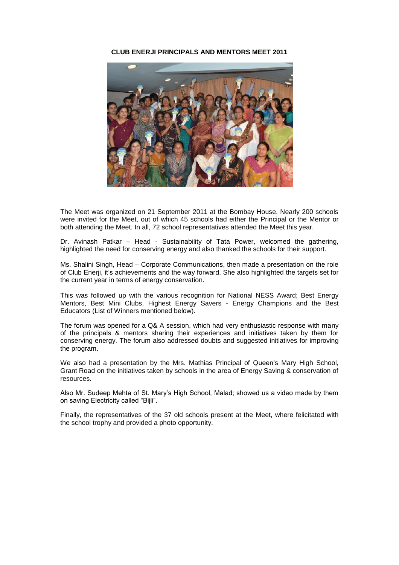### **CLUB ENERJI PRINCIPALS AND MENTORS MEET 2011**



The Meet was organized on 21 September 2011 at the Bombay House. Nearly 200 schools were invited for the Meet, out of which 45 schools had either the Principal or the Mentor or both attending the Meet. In all, 72 school representatives attended the Meet this year.

Dr. Avinash Patkar – Head - Sustainability of Tata Power, welcomed the gathering, highlighted the need for conserving energy and also thanked the schools for their support.

Ms. Shalini Singh, Head – Corporate Communications, then made a presentation on the role of Club Enerji, it's achievements and the way forward. She also highlighted the targets set for the current year in terms of energy conservation.

This was followed up with the various recognition for National NESS Award; Best Energy Mentors, Best Mini Clubs, Highest Energy Savers - Energy Champions and the Best Educators (List of Winners mentioned below).

The forum was opened for a Q& A session, which had very enthusiastic response with many of the principals & mentors sharing their experiences and initiatives taken by them for conserving energy. The forum also addressed doubts and suggested initiatives for improving the program.

We also had a presentation by the Mrs. Mathias Principal of Queen's Mary High School, Grant Road on the initiatives taken by schools in the area of Energy Saving & conservation of resources.

Also Mr. Sudeep Mehta of St. Mary's High School, Malad; showed us a video made by them on saving Electricity called "Bijli".

Finally, the representatives of the 37 old schools present at the Meet, where felicitated with the school trophy and provided a photo opportunity.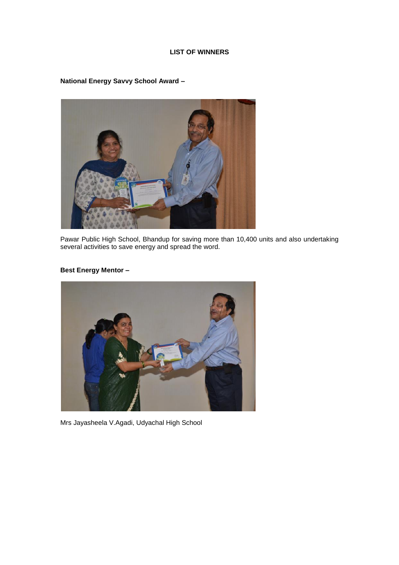## **LIST OF WINNERS**

**National Energy Savvy School Award –**

Pawar Public High School, Bhandup for saving more than 10,400 units and also undertaking several activities to save energy and spread the word.

## **Best Energy Mentor –**



Mrs Jayasheela V.Agadi, Udyachal High School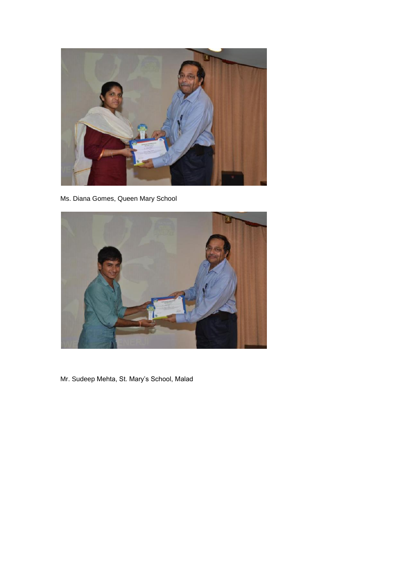

Ms. Diana Gomes, Queen Mary School



Mr. Sudeep Mehta, St. Mary's School, Malad